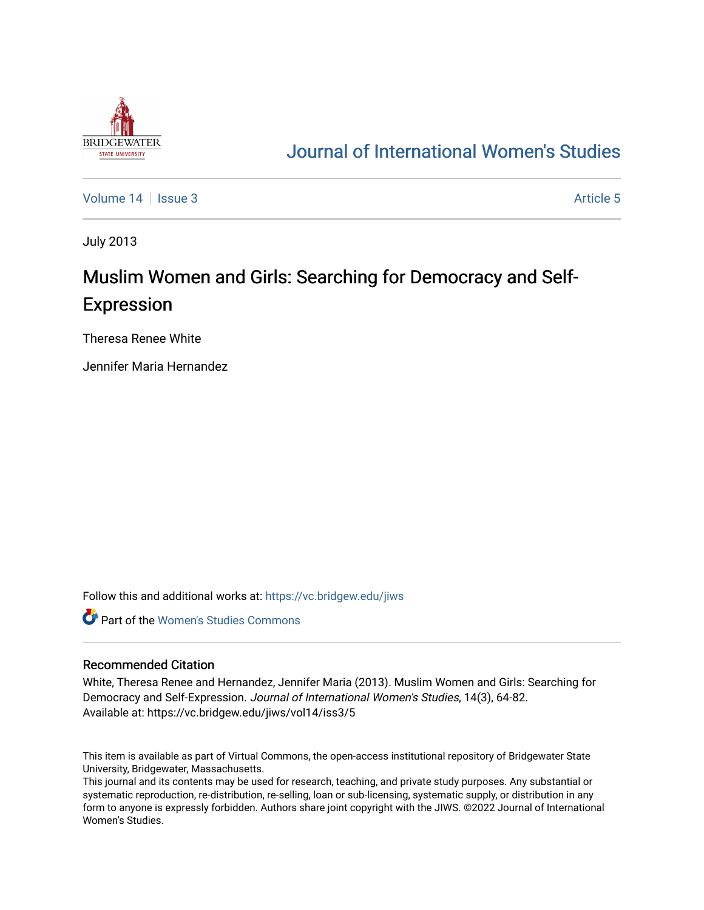

## [Journal of International Women's Studies](https://vc.bridgew.edu/jiws)

[Volume 14](https://vc.bridgew.edu/jiws/vol14) Sexue 3 [Article 5](https://vc.bridgew.edu/jiws/vol14/iss3/5) Article 5

July 2013

# Muslim Women and Girls: Searching for Democracy and Self-Expression

Theresa Renee White

Jennifer Maria Hernandez

Follow this and additional works at: [https://vc.bridgew.edu/jiws](https://vc.bridgew.edu/jiws?utm_source=vc.bridgew.edu%2Fjiws%2Fvol14%2Fiss3%2F5&utm_medium=PDF&utm_campaign=PDFCoverPages)

**C** Part of the Women's Studies Commons

#### Recommended Citation

White, Theresa Renee and Hernandez, Jennifer Maria (2013). Muslim Women and Girls: Searching for Democracy and Self-Expression. Journal of International Women's Studies, 14(3), 64-82. Available at: https://vc.bridgew.edu/jiws/vol14/iss3/5

This item is available as part of Virtual Commons, the open-access institutional repository of Bridgewater State University, Bridgewater, Massachusetts.

This journal and its contents may be used for research, teaching, and private study purposes. Any substantial or systematic reproduction, re-distribution, re-selling, loan or sub-licensing, systematic supply, or distribution in any form to anyone is expressly forbidden. Authors share joint copyright with the JIWS. ©2022 Journal of International Women's Studies.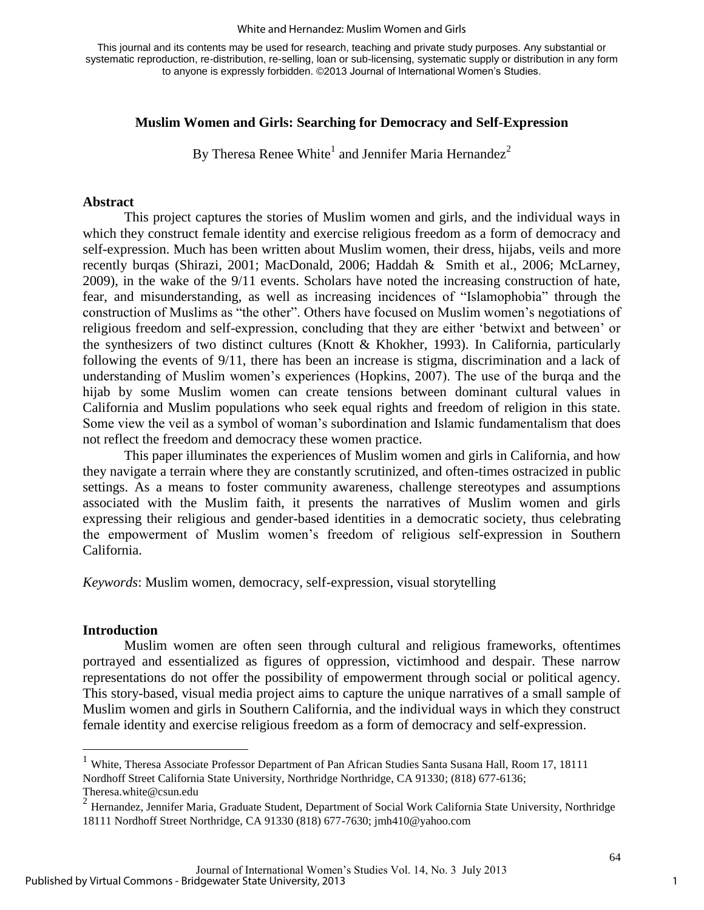#### White and Hernandez: Muslim Women and Girls

This journal and its contents may be used for research, teaching and private study purposes. Any substantial or systematic reproduction, re-distribution, re-selling, loan or sub-licensing, systematic supply or distribution in any form to anyone is expressly forbidden. ©2013 Journal of International Women's Studies.

#### **Muslim Women and Girls: Searching for Democracy and Self-Expression**

By Theresa Renee White<sup>1</sup> and Jennifer Maria Hernandez<sup>2</sup>

#### **Abstract**

This project captures the stories of Muslim women and girls, and the individual ways in which they construct female identity and exercise religious freedom as a form of democracy and self-expression. Much has been written about Muslim women, their dress, hijabs, veils and more recently burqas (Shirazi, 2001; MacDonald, 2006; Haddah & Smith et al., 2006; McLarney, 2009), in the wake of the 9/11 events. Scholars have noted the increasing construction of hate, fear, and misunderstanding, as well as increasing incidences of "Islamophobia" through the construction of Muslims as "the other". Others have focused on Muslim women's negotiations of religious freedom and self-expression, concluding that they are either 'betwixt and between' or the synthesizers of two distinct cultures (Knott & Khokher, 1993). In California, particularly following the events of 9/11, there has been an increase is stigma, discrimination and a lack of understanding of Muslim women's experiences (Hopkins, 2007). The use of the burqa and the hijab by some Muslim women can create tensions between dominant cultural values in California and Muslim populations who seek equal rights and freedom of religion in this state. Some view the veil as a symbol of woman's subordination and Islamic fundamentalism that does not reflect the freedom and democracy these women practice.

 This paper illuminates the experiences of Muslim women and girls in California, and how they navigate a terrain where they are constantly scrutinized, and often-times ostracized in public settings. As a means to foster community awareness, challenge stereotypes and assumptions associated with the Muslim faith, it presents the narratives of Muslim women and girls expressing their religious and gender-based identities in a democratic society, thus celebrating the empowerment of Muslim women's freedom of religious self-expression in Southern California.

*Keywords*: Muslim women, democracy, self-expression, visual storytelling

#### **Introduction**

 $\overline{a}$ 

 Muslim women are often seen through cultural and religious frameworks, oftentimes portrayed and essentialized as figures of oppression, victimhood and despair. These narrow representations do not offer the possibility of empowerment through social or political agency. This story-based, visual media project aims to capture the unique narratives of a small sample of Muslim women and girls in Southern California, and the individual ways in which they construct female identity and exercise religious freedom as a form of democracy and self-expression.

<sup>&</sup>lt;sup>1</sup> White, Theresa Associate Professor Department of Pan African Studies Santa Susana Hall, Room 17, 18111 Nordhoff Street California State University, Northridge Northridge, CA 91330; (818) 677-6136; Theresa.white@csun.edu

<sup>&</sup>lt;sup>2</sup> Hernandez, Jennifer Maria, Graduate Student, Department of Social Work California State University, Northridge 18111 Nordhoff Street Northridge, CA 91330 (818) 677-7630; jmh410@yahoo.com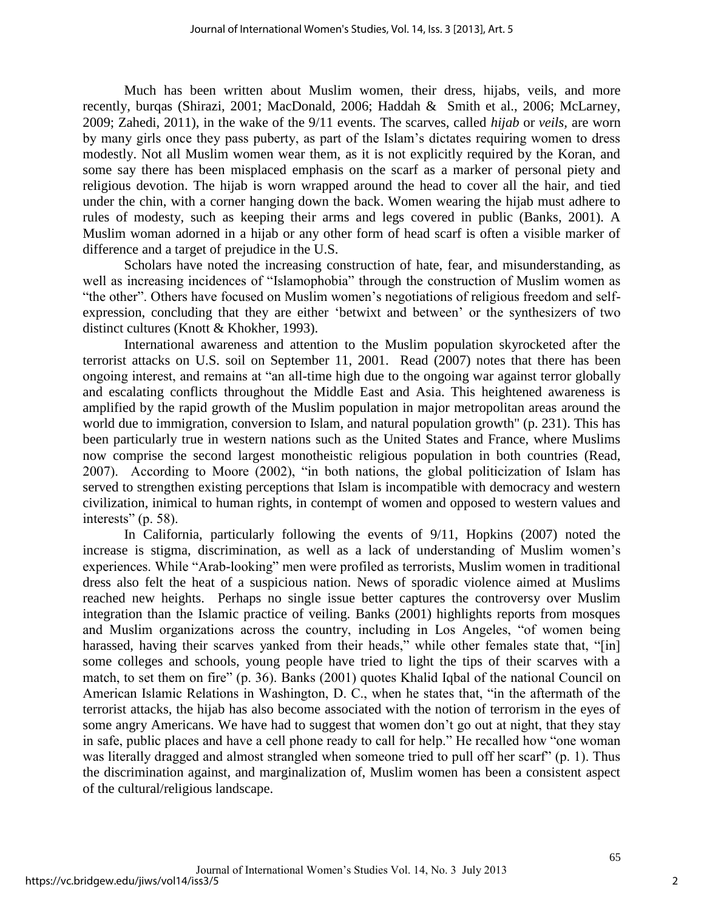Much has been written about Muslim women, their dress, hijabs, veils, and more recently, burqas (Shirazi, 2001; MacDonald, 2006; Haddah & Smith et al., 2006; McLarney, 2009; Zahedi, 2011), in the wake of the 9/11 events. The scarves, called *hijab* or *veils,* are worn by many girls once they pass puberty, as part of the Islam's dictates requiring women to dress modestly. Not all Muslim women wear them, as it is not explicitly required by the Koran, and some say there has been misplaced emphasis on the scarf as a marker of personal piety and religious devotion. The hijab is worn wrapped around the head to cover all the hair, and tied under the chin, with a corner hanging down the back. Women wearing the hijab must adhere to rules of modesty, such as keeping their arms and legs covered in public (Banks, 2001). A Muslim woman adorned in a hijab or any other form of head scarf is often a visible marker of difference and a target of prejudice in the U.S.

Scholars have noted the increasing construction of hate, fear, and misunderstanding, as well as increasing incidences of "Islamophobia" through the construction of Muslim women as "the other". Others have focused on Muslim women's negotiations of religious freedom and selfexpression, concluding that they are either 'betwixt and between' or the synthesizers of two distinct cultures (Knott & Khokher, 1993).

International awareness and attention to the Muslim population skyrocketed after the terrorist attacks on U.S. soil on September 11, 2001. Read (2007) notes that there has been ongoing interest, and remains at "an all-time high due to the ongoing war against terror globally and escalating conflicts throughout the Middle East and Asia. This heightened awareness is amplified by the rapid growth of the Muslim population in major metropolitan areas around the world due to immigration, conversion to Islam, and natural population growth" (p. 231). This has been particularly true in western nations such as the United States and France, where Muslims now comprise the second largest monotheistic religious population in both countries (Read, 2007). According to Moore (2002), "in both nations, the global politicization of Islam has served to strengthen existing perceptions that Islam is incompatible with democracy and western civilization, inimical to human rights, in contempt of women and opposed to western values and interests" (p. 58).

In California, particularly following the events of 9/11, Hopkins (2007) noted the increase is stigma, discrimination, as well as a lack of understanding of Muslim women's experiences. While "Arab-looking" men were profiled as terrorists, Muslim women in traditional dress also felt the heat of a suspicious nation. News of sporadic violence aimed at Muslims reached new heights. Perhaps no single issue better captures the controversy over Muslim integration than the Islamic practice of veiling. Banks (2001) highlights reports from mosques and Muslim organizations across the country, including in Los Angeles, "of women being harassed, having their scarves vanked from their heads," while other females state that, "[in] some colleges and schools, young people have tried to light the tips of their scarves with a match, to set them on fire" (p. 36). Banks (2001) quotes Khalid Iqbal of the national Council on American Islamic Relations in Washington, D. C., when he states that, "in the aftermath of the terrorist attacks, the hijab has also become associated with the notion of terrorism in the eyes of some angry Americans. We have had to suggest that women don't go out at night, that they stay in safe, public places and have a cell phone ready to call for help." He recalled how "one woman was literally dragged and almost strangled when someone tried to pull off her scarf" (p. 1). Thus the discrimination against, and marginalization of, Muslim women has been a consistent aspect of the cultural/religious landscape.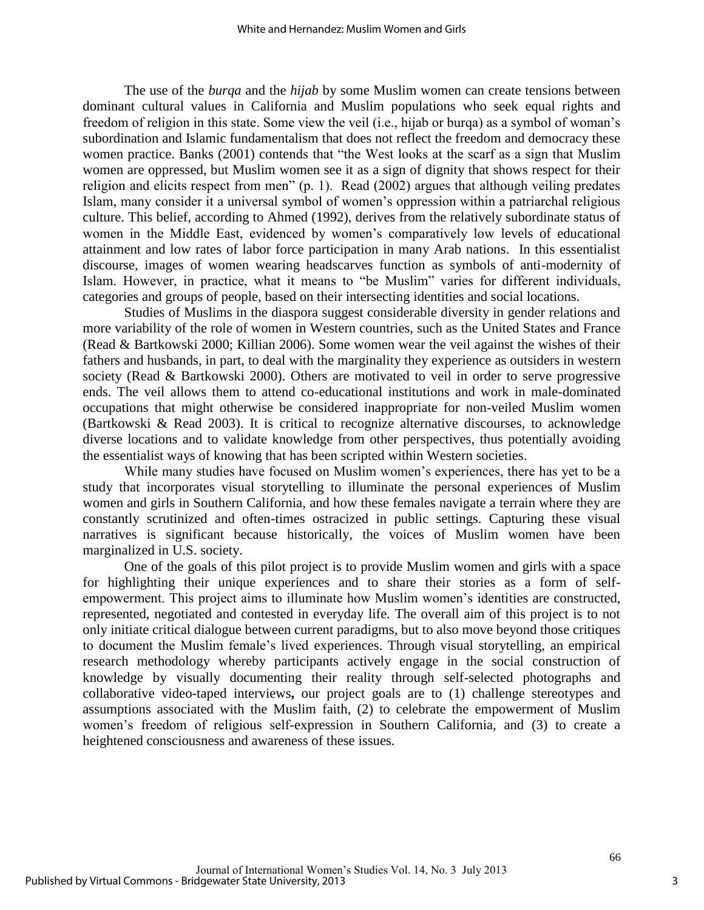The use of the *burqa* and the *hijab* by some Muslim women can create tensions between dominant cultural values in California and Muslim populations who seek equal rights and freedom of religion in this state. Some view the veil (i.e., hijab or burqa) as a symbol of woman's subordination and Islamic fundamentalism that does not reflect the freedom and democracy these women practice. Banks (2001) contends that "the West looks at the scarf as a sign that Muslim women are oppressed, but Muslim women see it as a sign of dignity that shows respect for their religion and elicits respect from men" (p. 1). Read (2002) argues that although veiling predates Islam, many consider it a universal symbol of women's oppression within a patriarchal religious culture. This belief, according to Ahmed (1992), derives from the relatively subordinate status of women in the Middle East, evidenced by women's comparatively low levels of educational attainment and low rates of labor force participation in many Arab nations. In this essentialist discourse, images of women wearing headscarves function as symbols of anti-modernity of Islam. However, in practice, what it means to "be Muslim" varies for different individuals, categories and groups of people, based on their intersecting identities and social locations.

Studies of Muslims in the diaspora suggest considerable diversity in gender relations and more variability of the role of women in Western countries, such as the United States and France (Read & Bartkowski 2000; Killian 2006). Some women wear the veil against the wishes of their fathers and husbands, in part, to deal with the marginality they experience as outsiders in western society (Read & Bartkowski 2000). Others are motivated to veil in order to serve progressive ends. The veil allows them to attend co-educational institutions and work in male-dominated occupations that might otherwise be considered inappropriate for non-veiled Muslim women (Bartkowski & Read 2003). It is critical to recognize alternative discourses, to acknowledge diverse locations and to validate knowledge from other perspectives, thus potentially avoiding the essentialist ways of knowing that has been scripted within Western societies.

While many studies have focused on Muslim women's experiences, there has yet to be a study that incorporates visual storytelling to illuminate the personal experiences of Muslim women and girls in Southern California, and how these females navigate a terrain where they are constantly scrutinized and often-times ostracized in public settings. Capturing these visual narratives is significant because historically, the voices of Muslim women have been marginalized in U.S. society.

One of the goals of this pilot project is to provide Muslim women and girls with a space for highlighting their unique experiences and to share their stories as a form of selfempowerment. This project aims to illuminate how Muslim women's identities are constructed, represented, negotiated and contested in everyday life. The overall aim of this project is to not only initiate critical dialogue between current paradigms, but to also move beyond those critiques to document the Muslim female's lived experiences. Through visual storytelling, an empirical research methodology whereby participants actively engage in the social construction of knowledge by visually documenting their reality through self-selected photographs and collaborative video-taped interviews**,** our project goals are to (1) challenge stereotypes and assumptions associated with the Muslim faith, (2) to celebrate the empowerment of Muslim women's freedom of religious self-expression in Southern California, and (3) to create a heightened consciousness and awareness of these issues.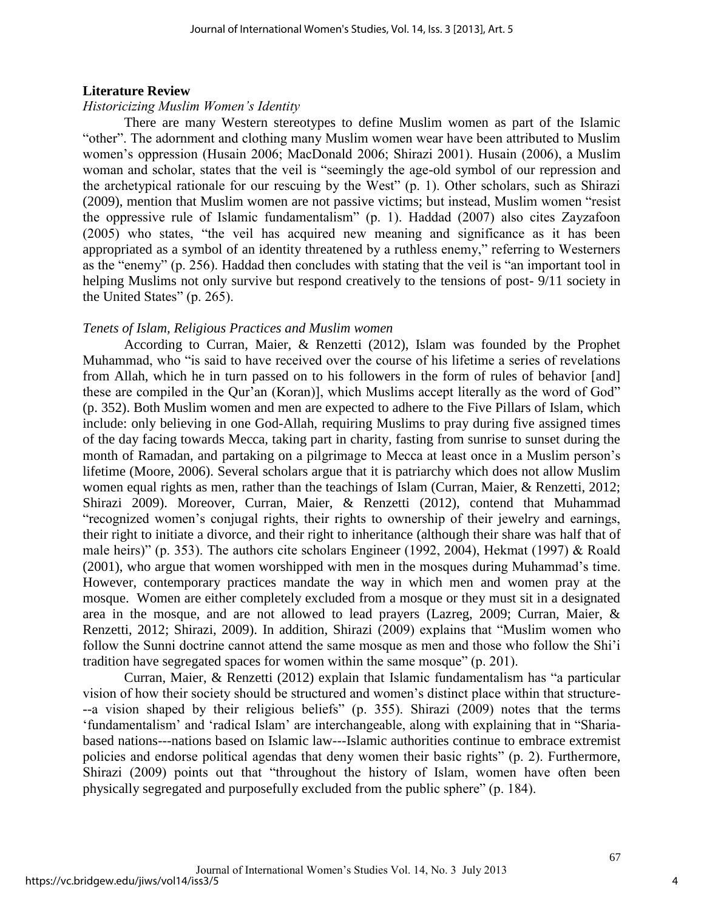#### **Literature Review**

#### *Historicizing Muslim Women's Identity*

There are many Western stereotypes to define Muslim women as part of the Islamic "other". The adornment and clothing many Muslim women wear have been attributed to Muslim women's oppression (Husain 2006; MacDonald 2006; Shirazi 2001). Husain (2006), a Muslim woman and scholar, states that the veil is "seemingly the age-old symbol of our repression and the archetypical rationale for our rescuing by the West" (p. 1). Other scholars, such as Shirazi (2009), mention that Muslim women are not passive victims; but instead, Muslim women "resist the oppressive rule of Islamic fundamentalism" (p. 1). Haddad (2007) also cites Zayzafoon (2005) who states, "the veil has acquired new meaning and significance as it has been appropriated as a symbol of an identity threatened by a ruthless enemy," referring to Westerners as the "enemy" (p. 256). Haddad then concludes with stating that the veil is "an important tool in helping Muslims not only survive but respond creatively to the tensions of post- 9/11 society in the United States" (p. 265).

#### *Tenets of Islam, Religious Practices and Muslim women*

According to Curran, Maier, & Renzetti (2012), Islam was founded by the Prophet Muhammad, who "is said to have received over the course of his lifetime a series of revelations from Allah, which he in turn passed on to his followers in the form of rules of behavior [and] these are compiled in the Qur'an (Koran)], which Muslims accept literally as the word of God" (p. 352). Both Muslim women and men are expected to adhere to the Five Pillars of Islam, which include: only believing in one God-Allah, requiring Muslims to pray during five assigned times of the day facing towards Mecca, taking part in charity, fasting from sunrise to sunset during the month of Ramadan, and partaking on a pilgrimage to Mecca at least once in a Muslim person's lifetime (Moore, 2006). Several scholars argue that it is patriarchy which does not allow Muslim women equal rights as men, rather than the teachings of Islam (Curran, Maier, & Renzetti, 2012; Shirazi 2009). Moreover, Curran, Maier, & Renzetti (2012), contend that Muhammad "recognized women's conjugal rights, their rights to ownership of their jewelry and earnings, their right to initiate a divorce, and their right to inheritance (although their share was half that of male heirs)" (p. 353). The authors cite scholars Engineer (1992, 2004), Hekmat (1997) & Roald (2001), who argue that women worshipped with men in the mosques during Muhammad's time. However, contemporary practices mandate the way in which men and women pray at the mosque. Women are either completely excluded from a mosque or they must sit in a designated area in the mosque, and are not allowed to lead prayers (Lazreg, 2009; Curran, Maier, & Renzetti, 2012; Shirazi, 2009). In addition, Shirazi (2009) explains that "Muslim women who follow the Sunni doctrine cannot attend the same mosque as men and those who follow the Shi'i tradition have segregated spaces for women within the same mosque" (p. 201).

Curran, Maier, & Renzetti (2012) explain that Islamic fundamentalism has "a particular vision of how their society should be structured and women's distinct place within that structure- --a vision shaped by their religious beliefs" (p. 355). Shirazi (2009) notes that the terms 'fundamentalism' and 'radical Islam' are interchangeable, along with explaining that in "Shariabased nations---nations based on Islamic law---Islamic authorities continue to embrace extremist policies and endorse political agendas that deny women their basic rights" (p. 2). Furthermore, Shirazi (2009) points out that "throughout the history of Islam, women have often been physically segregated and purposefully excluded from the public sphere" (p. 184).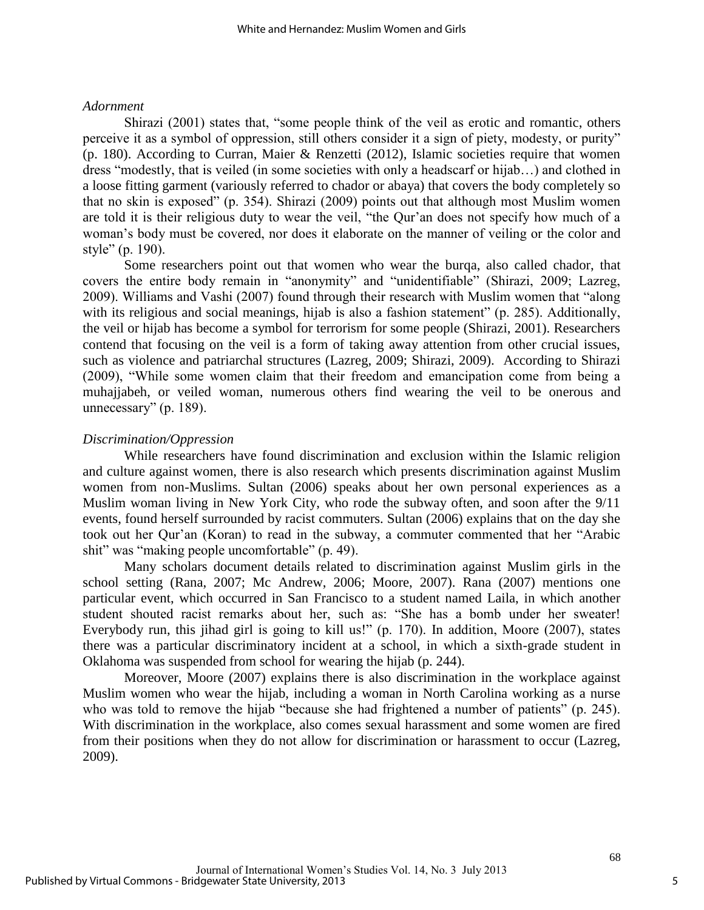#### *Adornment*

Shirazi (2001) states that, "some people think of the veil as erotic and romantic, others perceive it as a symbol of oppression, still others consider it a sign of piety, modesty, or purity" (p. 180). According to Curran, Maier & Renzetti (2012), Islamic societies require that women dress "modestly, that is veiled (in some societies with only a headscarf or hijab…) and clothed in a loose fitting garment (variously referred to chador or abaya) that covers the body completely so that no skin is exposed" (p. 354). Shirazi (2009) points out that although most Muslim women are told it is their religious duty to wear the veil, "the Qur'an does not specify how much of a woman's body must be covered, nor does it elaborate on the manner of veiling or the color and style" (p. 190).

Some researchers point out that women who wear the burqa, also called chador, that covers the entire body remain in "anonymity" and "unidentifiable" (Shirazi, 2009; Lazreg, 2009). Williams and Vashi (2007) found through their research with Muslim women that "along with its religious and social meanings, hijab is also a fashion statement" (p. 285). Additionally, the veil or hijab has become a symbol for terrorism for some people (Shirazi, 2001). Researchers contend that focusing on the veil is a form of taking away attention from other crucial issues, such as violence and patriarchal structures (Lazreg, 2009; Shirazi, 2009). According to Shirazi (2009), "While some women claim that their freedom and emancipation come from being a muhajjabeh, or veiled woman, numerous others find wearing the veil to be onerous and unnecessary" (p. 189).

#### *Discrimination/Oppression*

While researchers have found discrimination and exclusion within the Islamic religion and culture against women, there is also research which presents discrimination against Muslim women from non-Muslims. Sultan (2006) speaks about her own personal experiences as a Muslim woman living in New York City, who rode the subway often, and soon after the 9/11 events, found herself surrounded by racist commuters. Sultan (2006) explains that on the day she took out her Qur'an (Koran) to read in the subway, a commuter commented that her "Arabic shit" was "making people uncomfortable" (p. 49).

 Many scholars document details related to discrimination against Muslim girls in the school setting (Rana, 2007; Mc Andrew, 2006; Moore, 2007). Rana (2007) mentions one particular event, which occurred in San Francisco to a student named Laila, in which another student shouted racist remarks about her, such as: "She has a bomb under her sweater! Everybody run, this jihad girl is going to kill us!" (p. 170). In addition, Moore (2007), states there was a particular discriminatory incident at a school, in which a sixth-grade student in Oklahoma was suspended from school for wearing the hijab (p. 244).

 Moreover, Moore (2007) explains there is also discrimination in the workplace against Muslim women who wear the hijab, including a woman in North Carolina working as a nurse who was told to remove the hijab "because she had frightened a number of patients" (p. 245). With discrimination in the workplace, also comes sexual harassment and some women are fired from their positions when they do not allow for discrimination or harassment to occur (Lazreg, 2009).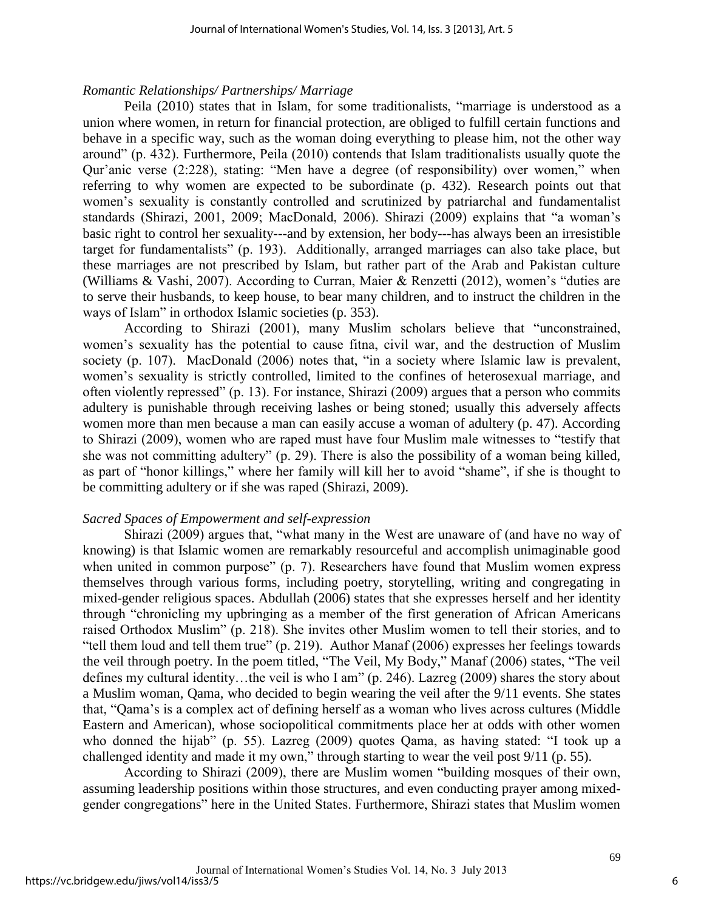#### *Romantic Relationships/ Partnerships/ Marriage*

 Peila (2010) states that in Islam, for some traditionalists, "marriage is understood as a union where women, in return for financial protection, are obliged to fulfill certain functions and behave in a specific way, such as the woman doing everything to please him, not the other way around" (p. 432). Furthermore, Peila (2010) contends that Islam traditionalists usually quote the Qur'anic verse (2:228), stating: "Men have a degree (of responsibility) over women," when referring to why women are expected to be subordinate (p. 432). Research points out that women's sexuality is constantly controlled and scrutinized by patriarchal and fundamentalist standards (Shirazi, 2001, 2009; MacDonald, 2006). Shirazi (2009) explains that "a woman's basic right to control her sexuality---and by extension, her body---has always been an irresistible target for fundamentalists" (p. 193). Additionally, arranged marriages can also take place, but these marriages are not prescribed by Islam, but rather part of the Arab and Pakistan culture (Williams & Vashi, 2007). According to Curran, Maier & Renzetti (2012), women's "duties are to serve their husbands, to keep house, to bear many children, and to instruct the children in the ways of Islam" in orthodox Islamic societies (p. 353).

 According to Shirazi (2001), many Muslim scholars believe that "unconstrained, women's sexuality has the potential to cause fitna, civil war, and the destruction of Muslim society (p. 107). MacDonald (2006) notes that, "in a society where Islamic law is prevalent, women's sexuality is strictly controlled, limited to the confines of heterosexual marriage, and often violently repressed" (p. 13). For instance, Shirazi (2009) argues that a person who commits adultery is punishable through receiving lashes or being stoned; usually this adversely affects women more than men because a man can easily accuse a woman of adultery (p. 47). According to Shirazi (2009), women who are raped must have four Muslim male witnesses to "testify that she was not committing adultery" (p. 29). There is also the possibility of a woman being killed, as part of "honor killings," where her family will kill her to avoid "shame", if she is thought to be committing adultery or if she was raped (Shirazi, 2009).

#### *Sacred Spaces of Empowerment and self-expression*

Shirazi (2009) argues that, "what many in the West are unaware of (and have no way of knowing) is that Islamic women are remarkably resourceful and accomplish unimaginable good when united in common purpose" (p. 7). Researchers have found that Muslim women express themselves through various forms, including poetry, storytelling, writing and congregating in mixed-gender religious spaces. Abdullah (2006) states that she expresses herself and her identity through "chronicling my upbringing as a member of the first generation of African Americans raised Orthodox Muslim" (p. 218). She invites other Muslim women to tell their stories, and to "tell them loud and tell them true" (p. 219). Author Manaf (2006) expresses her feelings towards the veil through poetry. In the poem titled, "The Veil, My Body," Manaf (2006) states, "The veil defines my cultural identity…the veil is who I am" (p. 246). Lazreg (2009) shares the story about a Muslim woman, Qama, who decided to begin wearing the veil after the 9/11 events. She states that, "Qama's is a complex act of defining herself as a woman who lives across cultures (Middle Eastern and American), whose sociopolitical commitments place her at odds with other women who donned the hijab" (p. 55). Lazreg (2009) quotes Qama, as having stated: "I took up a challenged identity and made it my own," through starting to wear the veil post 9/11 (p. 55).

According to Shirazi (2009), there are Muslim women "building mosques of their own, assuming leadership positions within those structures, and even conducting prayer among mixedgender congregations" here in the United States. Furthermore, Shirazi states that Muslim women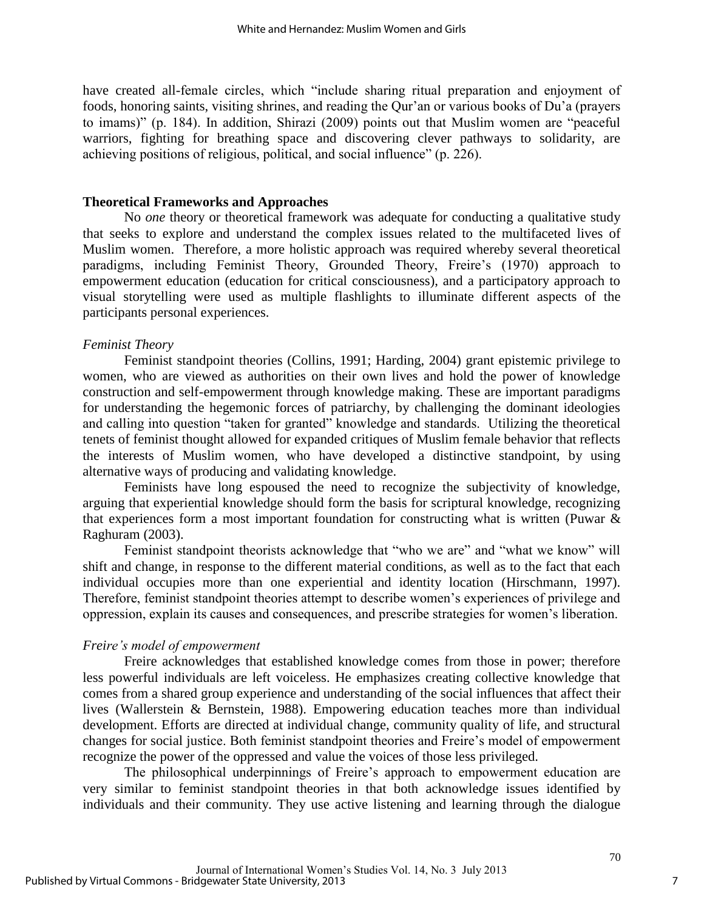have created all-female circles, which "include sharing ritual preparation and enjoyment of foods, honoring saints, visiting shrines, and reading the Qur'an or various books of Du'a (prayers to imams)" (p. 184). In addition, Shirazi (2009) points out that Muslim women are "peaceful warriors, fighting for breathing space and discovering clever pathways to solidarity, are achieving positions of religious, political, and social influence" (p. 226).

#### **Theoretical Frameworks and Approaches**

No *one* theory or theoretical framework was adequate for conducting a qualitative study that seeks to explore and understand the complex issues related to the multifaceted lives of Muslim women. Therefore, a more holistic approach was required whereby several theoretical paradigms, including Feminist Theory, Grounded Theory, Freire's (1970) approach to empowerment education (education for critical consciousness), and a participatory approach to visual storytelling were used as multiple flashlights to illuminate different aspects of the participants personal experiences.

#### *Feminist Theory*

 Feminist standpoint theories (Collins, 1991; Harding, 2004) grant epistemic privilege to women, who are viewed as authorities on their own lives and hold the power of knowledge construction and self-empowerment through knowledge making. These are important paradigms for understanding the hegemonic forces of patriarchy, by challenging the dominant ideologies and calling into question "taken for granted" knowledge and standards. Utilizing the theoretical tenets of feminist thought allowed for expanded critiques of Muslim female behavior that reflects the interests of Muslim women, who have developed a distinctive standpoint, by using alternative ways of producing and validating knowledge.

Feminists have long espoused the need to recognize the subjectivity of knowledge, arguing that experiential knowledge should form the basis for scriptural knowledge, recognizing that experiences form a most important foundation for constructing what is written (Puwar & Raghuram (2003).

Feminist standpoint theorists acknowledge that "who we are" and "what we know" will shift and change, in response to the different material conditions, as well as to the fact that each individual occupies more than one experiential and identity location (Hirschmann, 1997). Therefore, feminist standpoint theories attempt to describe women's experiences of privilege and oppression, explain its causes and consequences, and prescribe strategies for women's liberation.

#### *Freire's model of empowerment*

Freire acknowledges that established knowledge comes from those in power; therefore less powerful individuals are left voiceless. He emphasizes creating collective knowledge that comes from a shared group experience and understanding of the social influences that affect their lives (Wallerstein & Bernstein, 1988). Empowering education teaches more than individual development. Efforts are directed at individual change, community quality of life, and structural changes for social justice. Both feminist standpoint theories and Freire's model of empowerment recognize the power of the oppressed and value the voices of those less privileged.

The philosophical underpinnings of Freire's approach to empowerment education are very similar to feminist standpoint theories in that both acknowledge issues identified by individuals and their community. They use active listening and learning through the dialogue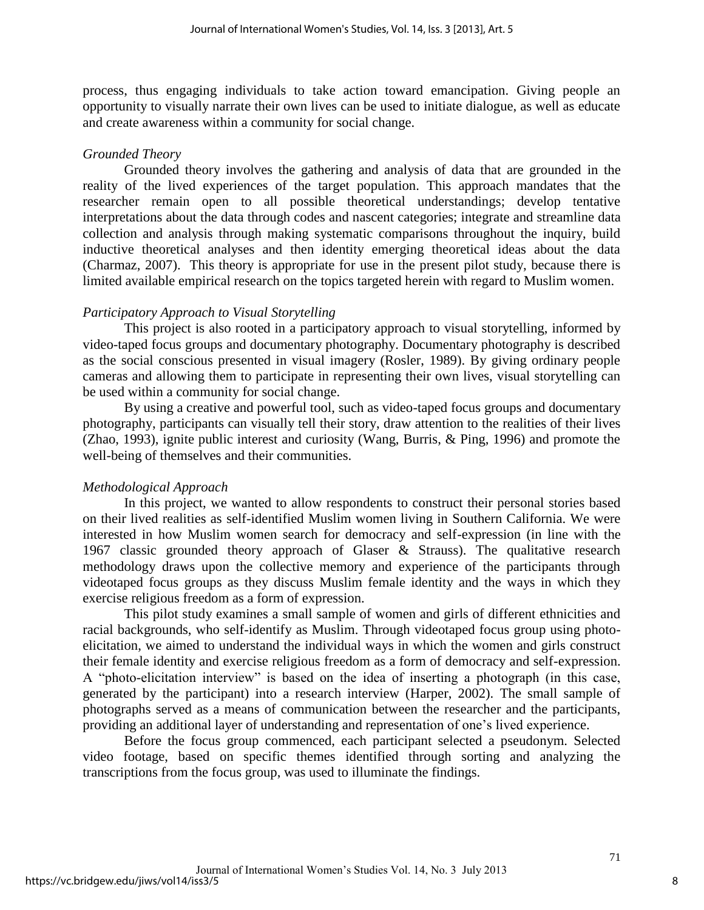process, thus engaging individuals to take action toward emancipation. Giving people an opportunity to visually narrate their own lives can be used to initiate dialogue, as well as educate and create awareness within a community for social change.

#### *Grounded Theory*

Grounded theory involves the gathering and analysis of data that are grounded in the reality of the lived experiences of the target population. This approach mandates that the researcher remain open to all possible theoretical understandings; develop tentative interpretations about the data through codes and nascent categories; integrate and streamline data collection and analysis through making systematic comparisons throughout the inquiry, build inductive theoretical analyses and then identity emerging theoretical ideas about the data (Charmaz, 2007). This theory is appropriate for use in the present pilot study, because there is limited available empirical research on the topics targeted herein with regard to Muslim women.

#### *Participatory Approach to Visual Storytelling*

This project is also rooted in a participatory approach to visual storytelling, informed by video-taped focus groups and documentary photography. Documentary photography is described as the social conscious presented in visual imagery (Rosler, 1989). By giving ordinary people cameras and allowing them to participate in representing their own lives, visual storytelling can be used within a community for social change.

By using a creative and powerful tool, such as video-taped focus groups and documentary photography, participants can visually tell their story, draw attention to the realities of their lives (Zhao, 1993), ignite public interest and curiosity (Wang, Burris, & Ping, 1996) and promote the well-being of themselves and their communities.

#### *Methodological Approach*

 In this project, we wanted to allow respondents to construct their personal stories based on their lived realities as self-identified Muslim women living in Southern California. We were interested in how Muslim women search for democracy and self-expression (in line with the 1967 classic grounded theory approach of Glaser & Strauss). The qualitative research methodology draws upon the collective memory and experience of the participants through videotaped focus groups as they discuss Muslim female identity and the ways in which they exercise religious freedom as a form of expression.

This pilot study examines a small sample of women and girls of different ethnicities and racial backgrounds, who self-identify as Muslim. Through videotaped focus group using photoelicitation, we aimed to understand the individual ways in which the women and girls construct their female identity and exercise religious freedom as a form of democracy and self-expression. A "photo-elicitation interview" is based on the idea of inserting a photograph (in this case, generated by the participant) into a research interview (Harper, 2002). The small sample of photographs served as a means of communication between the researcher and the participants, providing an additional layer of understanding and representation of one's lived experience.

Before the focus group commenced, each participant selected a pseudonym. Selected video footage, based on specific themes identified through sorting and analyzing the transcriptions from the focus group, was used to illuminate the findings.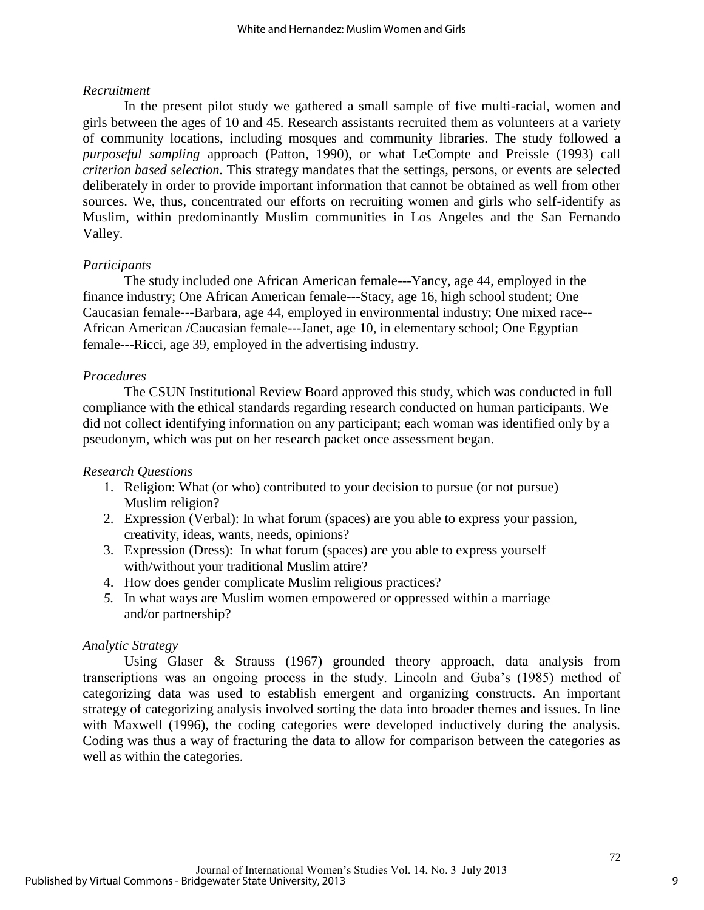### *Recruitment*

In the present pilot study we gathered a small sample of five multi-racial, women and girls between the ages of 10 and 45. Research assistants recruited them as volunteers at a variety of community locations, including mosques and community libraries. The study followed a *purposeful sampling* approach (Patton, 1990), or what LeCompte and Preissle (1993) call *criterion based selection.* This strategy mandates that the settings, persons, or events are selected deliberately in order to provide important information that cannot be obtained as well from other sources. We, thus, concentrated our efforts on recruiting women and girls who self-identify as Muslim, within predominantly Muslim communities in Los Angeles and the San Fernando Valley.

### *Participants*

The study included one African American female---Yancy, age 44, employed in the finance industry; One African American female---Stacy, age 16, high school student; One Caucasian female---Barbara, age 44, employed in environmental industry; One mixed race-- African American /Caucasian female---Janet, age 10, in elementary school; One Egyptian female---Ricci, age 39, employed in the advertising industry.

### *Procedures*

The CSUN Institutional Review Board approved this study, which was conducted in full compliance with the ethical standards regarding research conducted on human participants. We did not collect identifying information on any participant; each woman was identified only by a pseudonym, which was put on her research packet once assessment began.

### *Research Questions*

- 1. Religion: What (or who) contributed to your decision to pursue (or not pursue) Muslim religion?
- 2. Expression (Verbal): In what forum (spaces) are you able to express your passion, creativity, ideas, wants, needs, opinions?
- 3. Expression (Dress): In what forum (spaces) are you able to express yourself with/without your traditional Muslim attire?
- 4. How does gender complicate Muslim religious practices?
- *5.* In what ways are Muslim women empowered or oppressed within a marriage and/or partnership?

### *Analytic Strategy*

Using Glaser & Strauss (1967) grounded theory approach, data analysis from transcriptions was an ongoing process in the study. Lincoln and Guba's (1985) method of categorizing data was used to establish emergent and organizing constructs. An important strategy of categorizing analysis involved sorting the data into broader themes and issues. In line with Maxwell (1996), the coding categories were developed inductively during the analysis. Coding was thus a way of fracturing the data to allow for comparison between the categories as well as within the categories.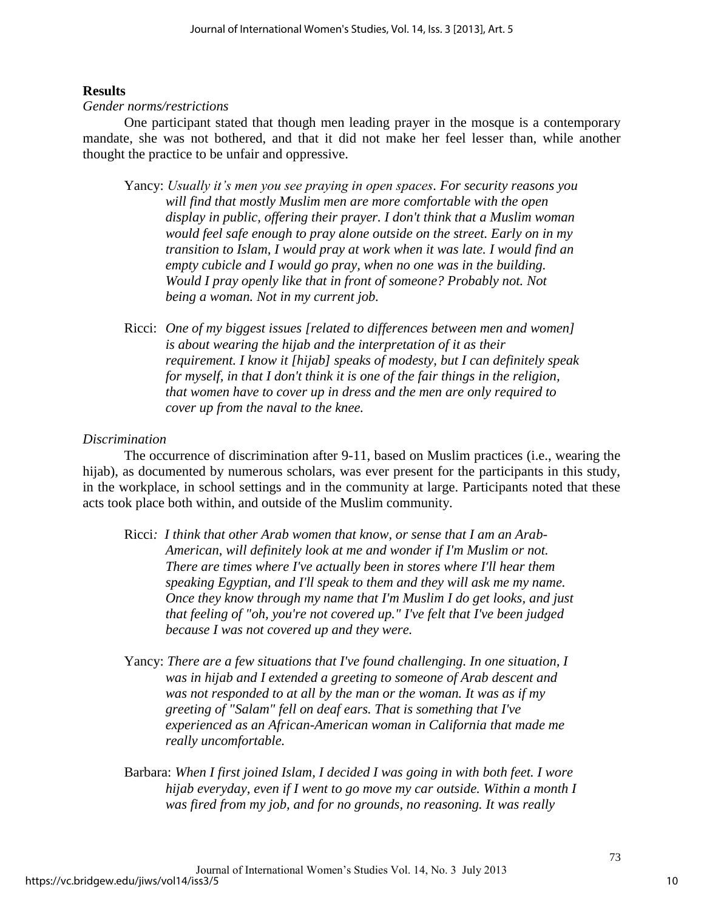### **Results**

#### *Gender norms/restrictions*

One participant stated that though men leading prayer in the mosque is a contemporary mandate, she was not bothered, and that it did not make her feel lesser than, while another thought the practice to be unfair and oppressive.

- Yancy: *Usually it's men you see praying in open spaces. For security reasons you will find that mostly Muslim men are more comfortable with the open display in public, offering their prayer. I don't think that a Muslim woman would feel safe enough to pray alone outside on the street. Early on in my transition to Islam, I would pray at work when it was late. I would find an empty cubicle and I would go pray, when no one was in the building. Would I pray openly like that in front of someone? Probably not. Not being a woman. Not in my current job.*
- Ricci: *One of my biggest issues [related to differences between men and women] is about wearing the hijab and the interpretation of it as their requirement. I know it [hijab] speaks of modesty, but I can definitely speak for myself, in that I don't think it is one of the fair things in the religion, that women have to cover up in dress and the men are only required to cover up from the naval to the knee.*

### *Discrimination*

 The occurrence of discrimination after 9-11, based on Muslim practices (i.e., wearing the hijab), as documented by numerous scholars, was ever present for the participants in this study, in the workplace, in school settings and in the community at large. Participants noted that these acts took place both within, and outside of the Muslim community.

- Ricci*: I think that other Arab women that know, or sense that I am an Arab-American, will definitely look at me and wonder if I'm Muslim or not. There are times where I've actually been in stores where I'll hear them speaking Egyptian, and I'll speak to them and they will ask me my name. Once they know through my name that I'm Muslim I do get looks, and just that feeling of "oh, you're not covered up." I've felt that I've been judged because I was not covered up and they were.*
- Yancy: *There are a few situations that I've found challenging. In one situation, I was in hijab and I extended a greeting to someone of Arab descent and was not responded to at all by the man or the woman. It was as if my greeting of "Salam" fell on deaf ears. That is something that I've experienced as an African-American woman in California that made me really uncomfortable.*
- Barbara: *When I first joined Islam, I decided I was going in with both feet. I wore hijab everyday, even if I went to go move my car outside. Within a month I was fired from my job, and for no grounds, no reasoning. It was really*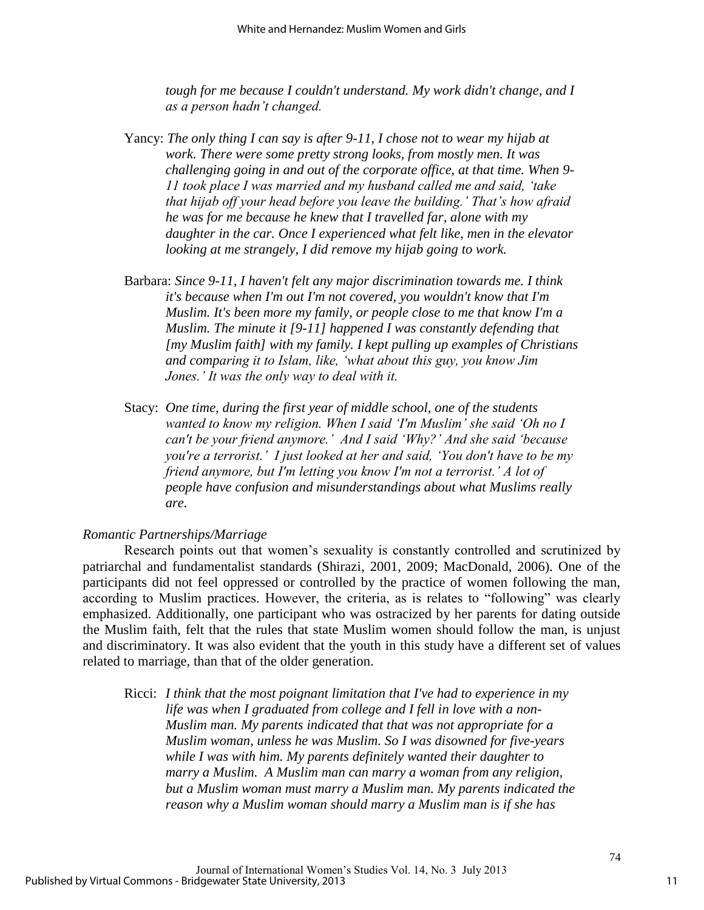*tough for me because I couldn't understand. My work didn't change, and I as a person hadn't changed.*

- Yancy: *The only thing I can say is after 9-11, I chose not to wear my hijab at work. There were some pretty strong looks, from mostly men. It was challenging going in and out of the corporate office, at that time. When 9- 11 took place I was married and my husband called me and said, 'take that hijab off your head before you leave the building.' That's how afraid he was for me because he knew that I travelled far, alone with my daughter in the car. Once I experienced what felt like, men in the elevator looking at me strangely, I did remove my hijab going to work.*
- Barbara: *Since 9-11, I haven't felt any major discrimination towards me. I think it's because when I'm out I'm not covered, you wouldn't know that I'm Muslim. It's been more my family, or people close to me that know I'm a Muslim. The minute it [9-11] happened I was constantly defending that [my Muslim faith] with my family. I kept pulling up examples of Christians and comparing it to Islam, like, 'what about this guy, you know Jim Jones.' It was the only way to deal with it.*
- Stacy: *One time, during the first year of middle school, one of the students wanted to know my religion. When I said 'I'm Muslim' she said 'Oh no I can't be your friend anymore.' And I said 'Why?' And she said 'because you're a terrorist.' I just looked at her and said, 'You don't have to be my friend anymore, but I'm letting you know I'm not a terrorist.' A lot of people have confusion and misunderstandings about what Muslims really are.*

#### *Romantic Partnerships/Marriage*

Research points out that women's sexuality is constantly controlled and scrutinized by patriarchal and fundamentalist standards (Shirazi, 2001, 2009; MacDonald, 2006). One of the participants did not feel oppressed or controlled by the practice of women following the man, according to Muslim practices. However, the criteria, as is relates to "following" was clearly emphasized. Additionally, one participant who was ostracized by her parents for dating outside the Muslim faith, felt that the rules that state Muslim women should follow the man, is unjust and discriminatory. It was also evident that the youth in this study have a different set of values related to marriage, than that of the older generation.

Ricci: *I think that the most poignant limitation that I've had to experience in my life was when I graduated from college and I fell in love with a non-Muslim man. My parents indicated that that was not appropriate for a Muslim woman, unless he was Muslim. So I was disowned for five-years while I was with him. My parents definitely wanted their daughter to marry a Muslim. A Muslim man can marry a woman from any religion, but a Muslim woman must marry a Muslim man. My parents indicated the reason why a Muslim woman should marry a Muslim man is if she has*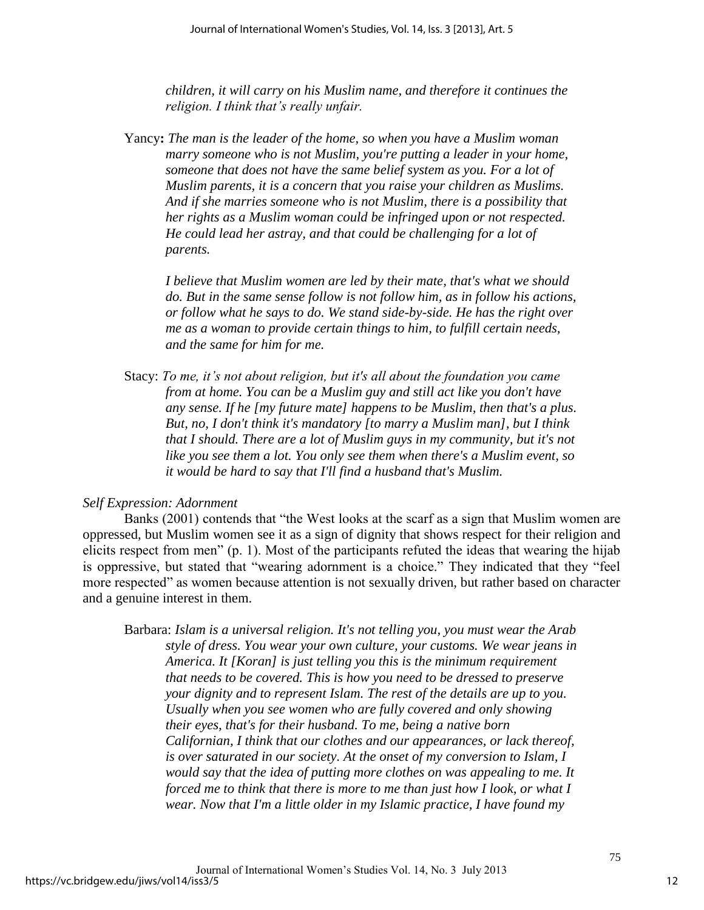*children, it will carry on his Muslim name, and therefore it continues the religion. I think that's really unfair.* 

Yancy**:** *The man is the leader of the home, so when you have a Muslim woman marry someone who is not Muslim, you're putting a leader in your home, someone that does not have the same belief system as you. For a lot of Muslim parents, it is a concern that you raise your children as Muslims. And if she marries someone who is not Muslim, there is a possibility that her rights as a Muslim woman could be infringed upon or not respected. He could lead her astray, and that could be challenging for a lot of parents.* 

*I believe that Muslim women are led by their mate, that's what we should do. But in the same sense follow is not follow him, as in follow his actions, or follow what he says to do. We stand side-by-side. He has the right over me as a woman to provide certain things to him, to fulfill certain needs, and the same for him for me.* 

Stacy: *To me, it's not about religion, but it's all about the foundation you came from at home. You can be a Muslim guy and still act like you don't have any sense. If he [my future mate] happens to be Muslim, then that's a plus. But, no, I don't think it's mandatory [to marry a Muslim man], but I think that I should. There are a lot of Muslim guys in my community, but it's not like you see them a lot. You only see them when there's a Muslim event, so it would be hard to say that I'll find a husband that's Muslim.* 

#### *Self Expression: Adornment*

Banks (2001) contends that "the West looks at the scarf as a sign that Muslim women are oppressed, but Muslim women see it as a sign of dignity that shows respect for their religion and elicits respect from men" (p. 1). Most of the participants refuted the ideas that wearing the hijab is oppressive, but stated that "wearing adornment is a choice." They indicated that they "feel more respected" as women because attention is not sexually driven, but rather based on character and a genuine interest in them.

Barbara: *Islam is a universal religion. It's not telling you, you must wear the Arab style of dress. You wear your own culture, your customs. We wear jeans in America. It [Koran] is just telling you this is the minimum requirement that needs to be covered. This is how you need to be dressed to preserve your dignity and to represent Islam. The rest of the details are up to you. Usually when you see women who are fully covered and only showing their eyes, that's for their husband. To me, being a native born Californian, I think that our clothes and our appearances, or lack thereof, is over saturated in our society. At the onset of my conversion to Islam, I would say that the idea of putting more clothes on was appealing to me. It forced me to think that there is more to me than just how I look, or what I wear. Now that I'm a little older in my Islamic practice, I have found my*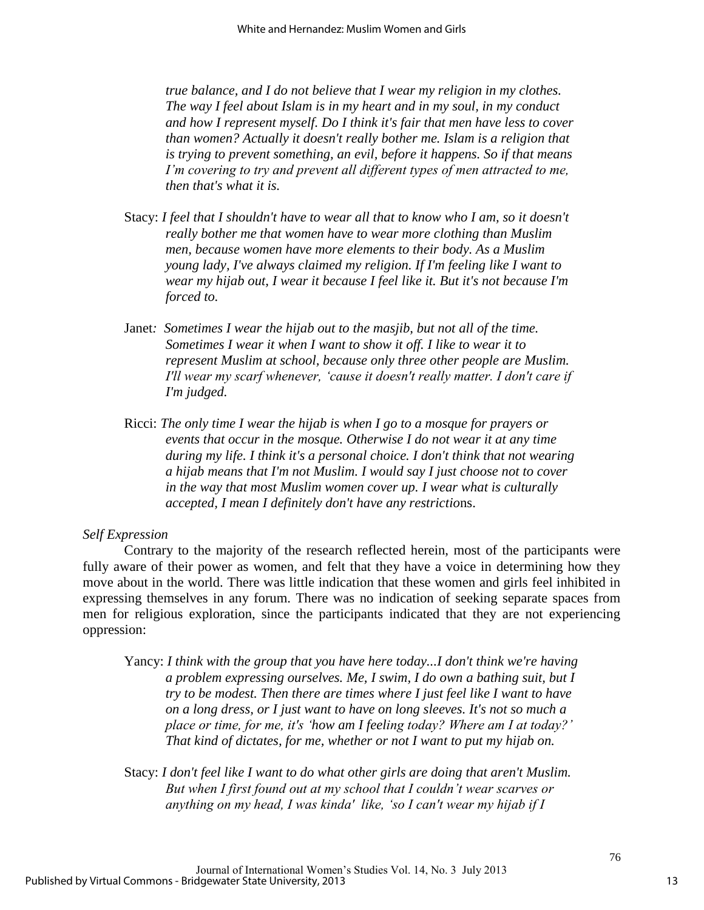*true balance, and I do not believe that I wear my religion in my clothes. The way I feel about Islam is in my heart and in my soul, in my conduct and how I represent myself. Do I think it's fair that men have less to cover than women? Actually it doesn't really bother me. Islam is a religion that is trying to prevent something, an evil, before it happens. So if that means I'm covering to try and prevent all different types of men attracted to me, then that's what it is.* 

- Stacy: *I feel that I shouldn't have to wear all that to know who I am, so it doesn't really bother me that women have to wear more clothing than Muslim men, because women have more elements to their body. As a Muslim young lady, I've always claimed my religion. If I'm feeling like I want to wear my hijab out, I wear it because I feel like it. But it's not because I'm forced to.*
- Janet*: Sometimes I wear the hijab out to the masjib, but not all of the time. Sometimes I wear it when I want to show it off. I like to wear it to represent Muslim at school, because only three other people are Muslim. I'll wear my scarf whenever, 'cause it doesn't really matter. I don't care if I'm judged.*
- Ricci: *The only time I wear the hijab is when I go to a mosque for prayers or events that occur in the mosque. Otherwise I do not wear it at any time during my life. I think it's a personal choice. I don't think that not wearing a hijab means that I'm not Muslim. I would say I just choose not to cover in the way that most Muslim women cover up. I wear what is culturally accepted, I mean I definitely don't have any restrictio*ns.

#### *Self Expression*

 Contrary to the majority of the research reflected herein, most of the participants were fully aware of their power as women, and felt that they have a voice in determining how they move about in the world. There was little indication that these women and girls feel inhibited in expressing themselves in any forum. There was no indication of seeking separate spaces from men for religious exploration, since the participants indicated that they are not experiencing oppression:

Yancy: *I think with the group that you have here today...I don't think we're having a problem expressing ourselves. Me, I swim, I do own a bathing suit, but I try to be modest. Then there are times where I just feel like I want to have on a long dress, or I just want to have on long sleeves. It's not so much a place or time, for me, it's 'how am I feeling today? Where am I at today?' That kind of dictates, for me, whether or not I want to put my hijab on.* 

Stacy: *I don't feel like I want to do what other girls are doing that aren't Muslim. But when I first found out at my school that I couldn't wear scarves or anything on my head, I was kinda' like, 'so I can't wear my hijab if I*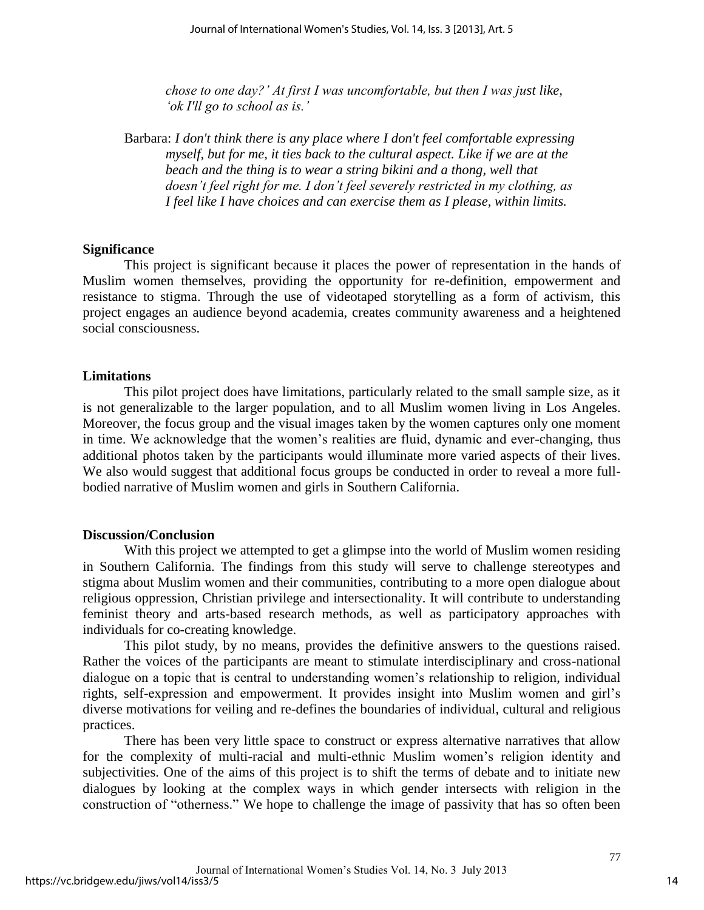*chose to one day?' At first I was uncomfortable, but then I was just like, 'ok I'll go to school as is.'*

Barbara: *I don't think there is any place where I don't feel comfortable expressing myself, but for me, it ties back to the cultural aspect. Like if we are at the beach and the thing is to wear a string bikini and a thong, well that doesn't feel right for me. I don't feel severely restricted in my clothing, as I feel like I have choices and can exercise them as I please, within limits.* 

#### **Significance**

 This project is significant because it places the power of representation in the hands of Muslim women themselves, providing the opportunity for re-definition, empowerment and resistance to stigma. Through the use of videotaped storytelling as a form of activism, this project engages an audience beyond academia, creates community awareness and a heightened social consciousness.

#### **Limitations**

 This pilot project does have limitations, particularly related to the small sample size, as it is not generalizable to the larger population, and to all Muslim women living in Los Angeles. Moreover, the focus group and the visual images taken by the women captures only one moment in time. We acknowledge that the women's realities are fluid, dynamic and ever-changing, thus additional photos taken by the participants would illuminate more varied aspects of their lives. We also would suggest that additional focus groups be conducted in order to reveal a more fullbodied narrative of Muslim women and girls in Southern California.

#### **Discussion/Conclusion**

 With this project we attempted to get a glimpse into the world of Muslim women residing in Southern California. The findings from this study will serve to challenge stereotypes and stigma about Muslim women and their communities, contributing to a more open dialogue about religious oppression, Christian privilege and intersectionality. It will contribute to understanding feminist theory and arts-based research methods, as well as participatory approaches with individuals for co-creating knowledge.

 This pilot study, by no means, provides the definitive answers to the questions raised. Rather the voices of the participants are meant to stimulate interdisciplinary and cross-national dialogue on a topic that is central to understanding women's relationship to religion, individual rights, self-expression and empowerment. It provides insight into Muslim women and girl's diverse motivations for veiling and re-defines the boundaries of individual, cultural and religious practices.

There has been very little space to construct or express alternative narratives that allow for the complexity of multi-racial and multi-ethnic Muslim women's religion identity and subjectivities. One of the aims of this project is to shift the terms of debate and to initiate new dialogues by looking at the complex ways in which gender intersects with religion in the construction of "otherness." We hope to challenge the image of passivity that has so often been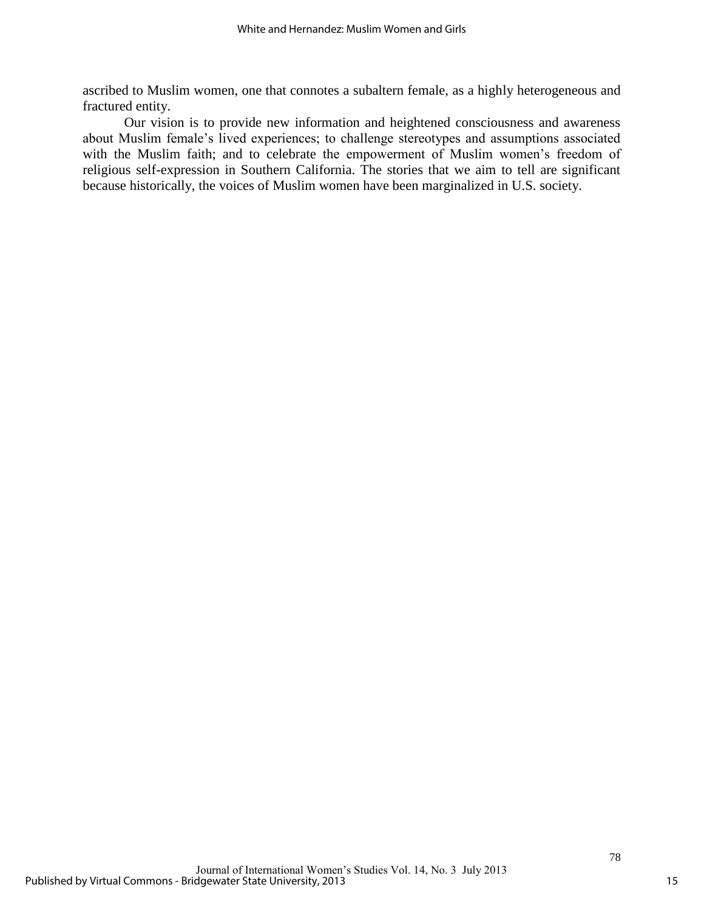ascribed to Muslim women, one that connotes a subaltern female, as a highly heterogeneous and fractured entity.

 Our vision is to provide new information and heightened consciousness and awareness about Muslim female's lived experiences; to challenge stereotypes and assumptions associated with the Muslim faith; and to celebrate the empowerment of Muslim women's freedom of religious self-expression in Southern California. The stories that we aim to tell are significant because historically, the voices of Muslim women have been marginalized in U.S. society.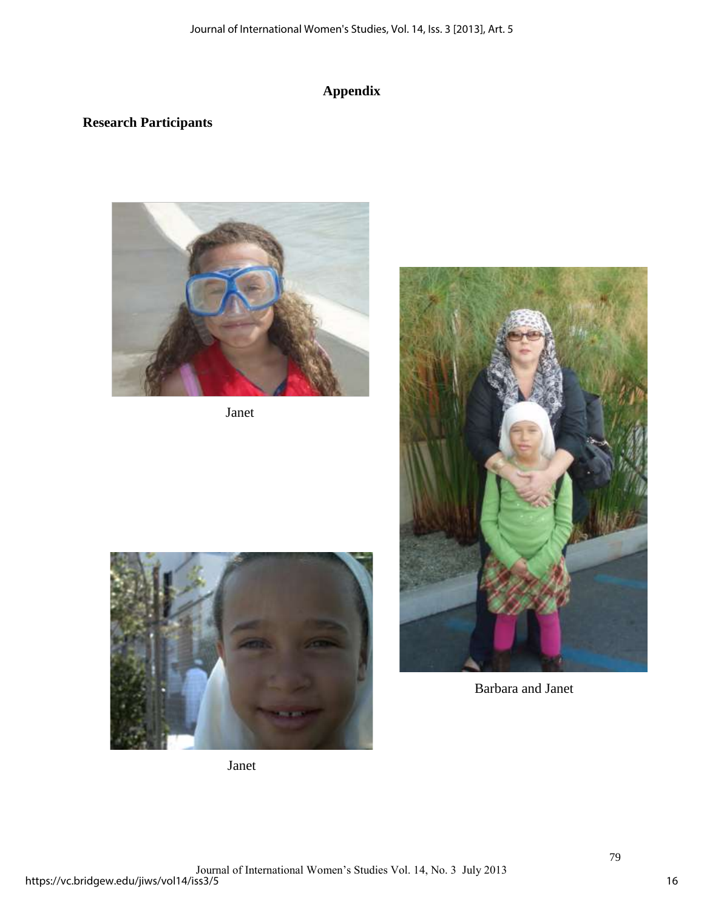## **Appendix**

### **Research Participants**



Janet





Barbara and Janet

Janet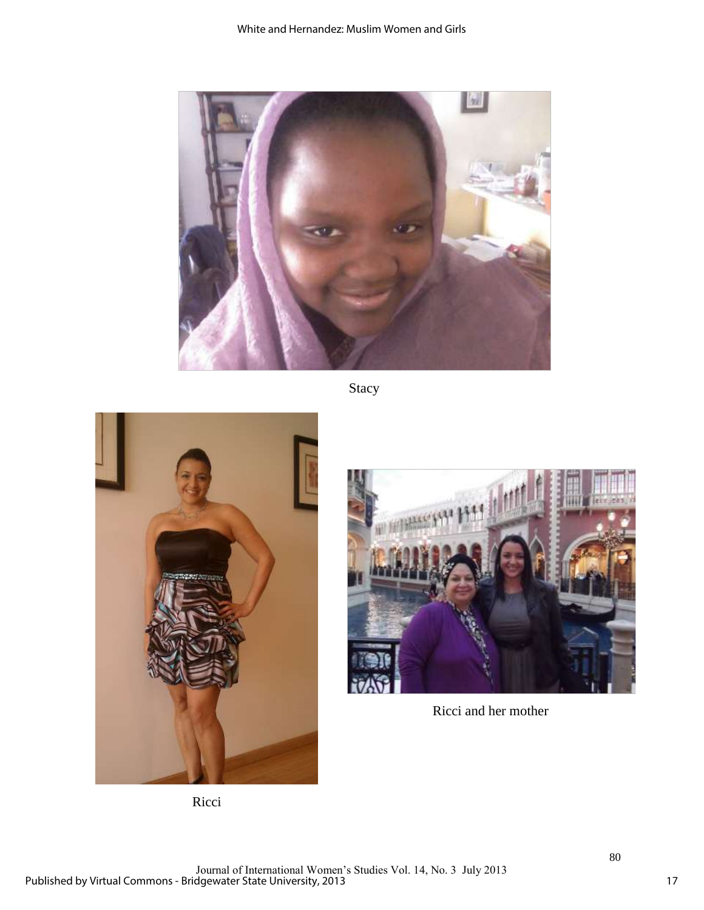

Stacy





Ricci and her mother

Ricci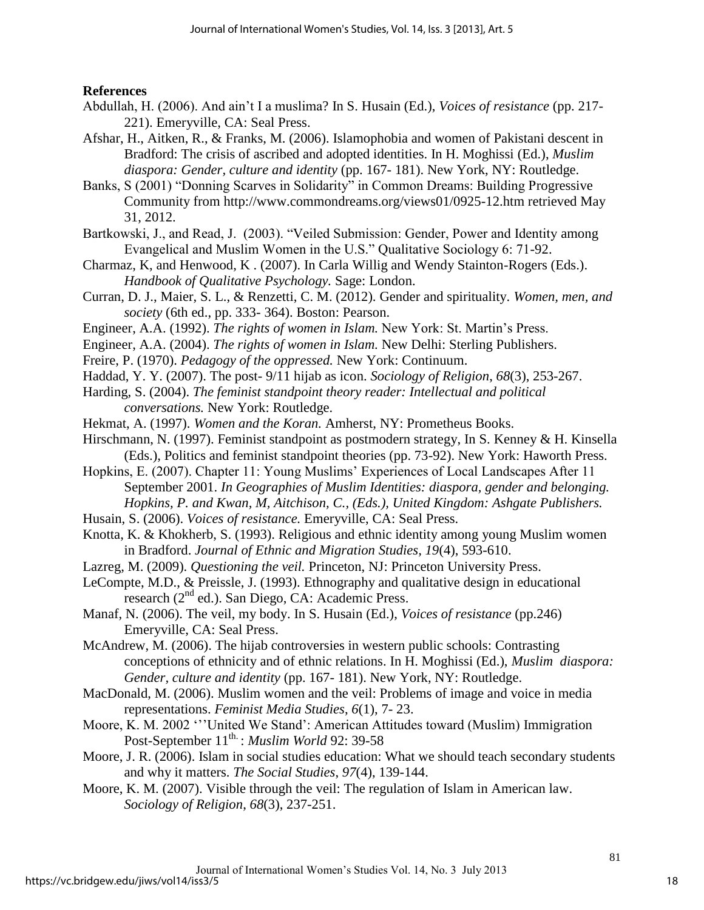**References** 

- Abdullah, H. (2006). And ain't I a muslima? In S. Husain (Ed.), *Voices of resistance* (pp. 217- 221). Emeryville, CA: Seal Press.
- Afshar, H., Aitken, R., & Franks, M. (2006). Islamophobia and women of Pakistani descent in Bradford: The crisis of ascribed and adopted identities. In H. Moghissi (Ed.), *Muslim diaspora: Gender, culture and identity* (pp. 167- 181). New York, NY: Routledge.
- Banks, S (2001) "Donning Scarves in Solidarity" in Common Dreams: Building Progressive Community from http://www.commondreams.org/views01/0925-12.htm retrieved May 31, 2012.
- Bartkowski, J., and Read, J. (2003). "Veiled Submission: Gender, Power and Identity among Evangelical and Muslim Women in the U.S." Qualitative Sociology 6: 71-92.
- Charmaz, K, and Henwood, K . (2007). In Carla Willig and Wendy Stainton-Rogers (Eds.). *Handbook of Qualitative Psychology.* Sage: London.
- Curran, D. J., Maier, S. L., & Renzetti, C. M. (2012). Gender and spirituality. *Women, men, and society* (6th ed., pp. 333- 364). Boston: Pearson.
- Engineer, A.A. (1992). *The rights of women in Islam.* New York: St. Martin's Press.
- Engineer, A.A. (2004). *The rights of women in Islam.* New Delhi: Sterling Publishers.
- Freire, P. (1970). *Pedagogy of the oppressed.* New York: Continuum.
- Haddad, Y. Y. (2007). The post- 9/11 hijab as icon. *Sociology of Religion*, *68*(3), 253-267.
- Harding, S. (2004). *The feminist standpoint theory reader: Intellectual and political conversations.* New York: Routledge.
- Hekmat, A. (1997). *Women and the Koran.* Amherst, NY: Prometheus Books.
- Hirschmann, N. (1997). Feminist standpoint as postmodern strategy, In S. Kenney & H. Kinsella (Eds.), Politics and feminist standpoint theories (pp. 73-92). New York: Haworth Press.
- Hopkins, E. (2007). Chapter 11: Young Muslims' Experiences of Local Landscapes After 11 September 2001. *In Geographies of Muslim Identities: diaspora, gender and belonging. Hopkins, P. and Kwan, M, Aitchison, C., (Eds.), United Kingdom: Ashgate Publishers.*
- Husain, S. (2006). *Voices of resistance.* Emeryville, CA: Seal Press.
- Knotta, K. & Khokherb, S. (1993). Religious and ethnic identity among young Muslim women in Bradford. *Journal of Ethnic and Migration Studies, 19*(4), 593-610.
- Lazreg, M. (2009). *Questioning the veil.* Princeton, NJ: Princeton University Press.
- LeCompte, M.D., & Preissle, J. (1993). Ethnography and qualitative design in educational research (2nd ed.). San Diego, CA: Academic Press.
- Manaf, N. (2006). The veil, my body. In S. Husain (Ed.), *Voices of resistance* (pp.246) Emeryville, CA: Seal Press.
- McAndrew, M. (2006). The hijab controversies in western public schools: Contrasting conceptions of ethnicity and of ethnic relations. In H. Moghissi (Ed.), *Muslim diaspora: Gender, culture and identity* (pp. 167- 181). New York, NY: Routledge.
- MacDonald, M. (2006). Muslim women and the veil: Problems of image and voice in media representations. *Feminist Media Studies*, *6*(1), 7- 23.
- Moore, K. M. 2002 '''United We Stand': American Attitudes toward (Muslim) Immigration Post-September 11<sup>th.</sup>: *Muslim World* 92: 39-58
- Moore, J. R. (2006). Islam in social studies education: What we should teach secondary students and why it matters. *The Social Studies*, *97*(4), 139-144.
- Moore, K. M. (2007). Visible through the veil: The regulation of Islam in American law. *Sociology of Religion*, *68*(3), 237-251.